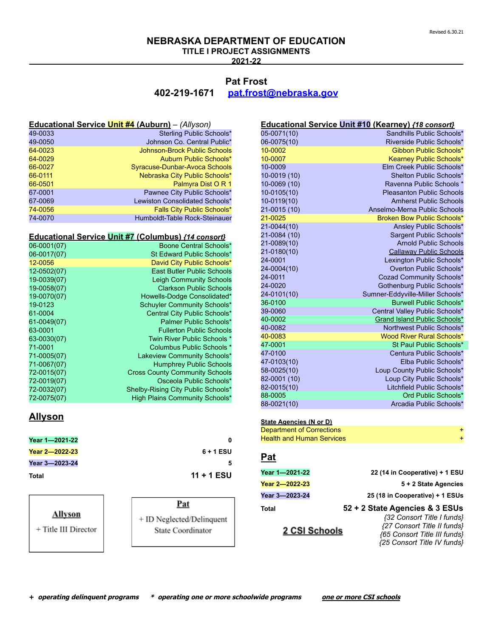**TITLE I PROJECT ASSIGNMENTS**

**2021-22**

## **Pat Frost 402-219-1671 [pat.frost@nebraska.gov](mailto:pat.frost@nebraska.gov)**

|         | Educational Service Unit #4 (Auburn) - (Allyson) |
|---------|--------------------------------------------------|
| 49-0033 | Sterling Public Schools*                         |
| 49-0050 | Johnson Co. Central Public*                      |
| 64-0023 | <b>Johnson-Brock Public Schools</b>              |
| 64-0029 | Auburn Public Schools*                           |
| 66-0027 | Syracuse-Dunbar-Avoca Schools                    |
| 66-0111 | Nebraska City Public Schools*                    |
| 66-0501 | Palmyra Dist O R 1                               |
| 67-0001 | Pawnee City Public Schools*                      |
| 67-0069 | Lewiston Consolidated Schools*                   |
| 74-0056 | <b>Falls City Public Schools*</b>                |
| 74-0070 | Humboldt-Table Rock-Steinauer                    |

### **Educational Service Unit #7 (Columbus)** *{14 consort}*

| 06-0001(07) | Boone Central Schools*                |
|-------------|---------------------------------------|
| 06-0017(07) | St Edward Public Schools*             |
| 12-0056     | David City Public Schools*            |
| 12-0502(07) | <b>East Butler Public Schools</b>     |
| 19-0039(07) | <b>Leigh Community Schools</b>        |
| 19-0058(07) | <b>Clarkson Public Schools</b>        |
| 19-0070(07) | Howells-Dodge Consolidated*           |
| 19-0123     | <b>Schuyler Community Schools*</b>    |
| 61-0004     | Central City Public Schools*          |
| 61-0049(07) | Palmer Public Schools*                |
| 63-0001     | <b>Fullerton Public Schools</b>       |
| 63-0030(07) | Twin River Public Schools *           |
| 71-0001     | Columbus Public Schools *             |
| 71-0005(07) | Lakeview Community Schools*           |
| 71-0067(07) | <b>Humphrey Public Schools</b>        |
| 72-0015(07) | <b>Cross County Community Schools</b> |
| 72-0019(07) | Osceola Public Schools*               |
| 72-0032(07) | Shelby-Rising City Public Schools*    |
| 72-0075(07) | High Plains Community Schools*        |

## **Allyson**

| Year 1-2021-22 |              |
|----------------|--------------|
| Year 2-2022-23 | $6 + 1$ ESU  |
| Year 3-2023-24 |              |
| Total          | $11 + 1$ ESU |

#### **Allyson**

+ Title III Director

**Year 2—2022-23 6 + 1 ESU Total 11 + 1 ESU**

## <u>Pat</u>

+ ID Neglected/Delinquent State Coordinator

|              | Educational Service Unit #10 (Kearney) {18 consort} |
|--------------|-----------------------------------------------------|
| 05-0071(10)  | Sandhills Public Schools*                           |
| 06-0075(10)  | Riverside Public Schools*                           |
| 10-0002      | Gibbon Public Schools*                              |
| 10-0007      | Kearney Public Schools*                             |
| 10-0009      | Elm Creek Public Schools*                           |
| 10-0019 (10) | Shelton Public Schools*                             |
| 10-0069 (10) | Ravenna Public Schools *                            |
| 10-0105(10)  | <b>Pleasanton Public Schools</b>                    |
| 10-0119(10)  | <b>Amherst Public Schools</b>                       |
| 21-0015 (10) | Anselmo-Merna Public Schools                        |
| 21-0025      | Broken Bow Public Schools*                          |
| 21-0044(10)  | Ansley Public Schools*                              |
| 21-0084 (10) | Sargent Public Schools*                             |
| 21-0089(10)  | <b>Arnold Public Schools</b>                        |
| 21-0180(10)  | <b>Callaway Public Schools</b>                      |
| 24-0001      | Lexington Public Schools*                           |
| 24-0004(10)  | Overton Public Schools*                             |
| 24-0011      | Cozad Community Schools*                            |
| 24-0020      | Gothenburg Public Schools*                          |
| 24-0101(10)  | Sumner-Eddyville-Miller Schools*                    |
| 36-0100      | <b>Burwell Public Schools*</b>                      |
| 39-0060      | Central Valley Public Schools*                      |
| 40-0002      | Grand Island Public Schools*                        |
| 40-0082      | Northwest Public Schools*                           |
| 40-0083      | <b>Wood River Rural Schools*</b>                    |
| 47-0001      | St Paul Public Schools*                             |
| 47-0100      | Centura Public Schools*                             |
| 47-0103(10)  | Elba Public Schools*                                |
| 58-0025(10)  | Loup County Public Schools*                         |
| 82-0001 (10) | Loup City Public Schools*                           |
| 82-0015(10)  | Litchfield Public Schools*                          |
| 88-0005      | Ord Public Schools*                                 |
| 88-0021(10)  | Arcadia Public Schools*                             |

#### **State Agencies (N or D)**

| Department of Corrections |  |
|---------------------------|--|
| Health and Human Services |  |

### **Pat**

| Year 1—2021-22 | 22 (14 in Cooperative) + 1 ESU  |
|----------------|---------------------------------|
| Year 2—2022-23 | 5 + 2 State Agencies            |
| Year 3-2023-24 | 25 (18 in Cooperative) + 1 ESUs |
| Total          | 52 + 2 State Agencies & 3 ESUs  |

## 2 CSI Schools

*{32 Consort Title I funds} {27 Consort Title II funds} {65 Consort Title III funds} {25 Consort Title IV funds}*

**+ operating delinquent programs \* operating one or more schoolwide programs one or more CSI schools**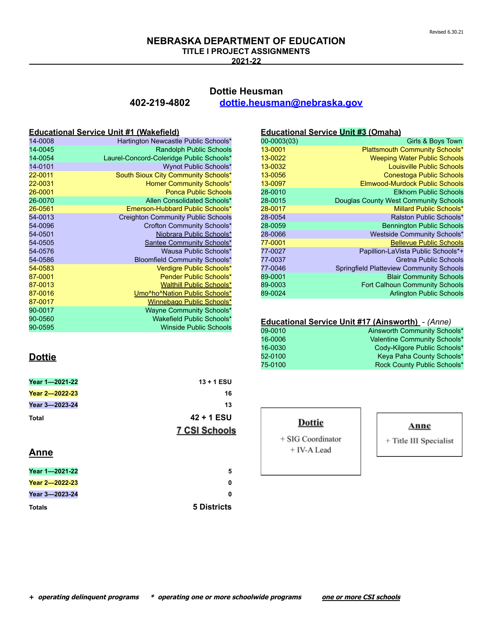## **NEBRASKA DEPARTMENT OF EDUCATION TITLE I PROJECT ASSIGNMENTS**

**2021-22**

## **Dottie Heusman 402-219-4802 [dottie.heusman@nebraska.gov](mailto:dottie.heusman@nebraska.gov)**

### **Educational Service Unit #1 (Wakefield)**

| 14-0008 | Hartington Newcastle Public Schools*      |
|---------|-------------------------------------------|
| 14-0045 | <b>Randolph Public Schools</b>            |
| 14-0054 | Laurel-Concord-Coleridge Public Schools*  |
| 14-0101 | <b>Wynot Public Schools*</b>              |
| 22-0011 | South Sioux City Community Schools*       |
| 22-0031 | Homer Community Schools*                  |
| 26-0001 | <b>Ponca Public Schools</b>               |
| 26-0070 | Allen Consolidated Schools*               |
| 26-0561 | Emerson-Hubbard Public Schools*           |
| 54-0013 | <b>Creighton Community Public Schools</b> |
| 54-0096 | Crofton Community Schools*                |
| 54-0501 | Niobrara Public Schools*                  |
| 54-0505 | Santee Community Schools*                 |
| 54-0576 | Wausa Public Schools*                     |
| 54-0586 | <b>Bloomfield Community Schools*</b>      |
| 54-0583 | Verdigre Public Schools*                  |
| 87-0001 | <b>Pender Public Schools*</b>             |
| 87-0013 | <b>Walthill Public Schools*</b>           |
| 87-0016 | Umo^ho^Nation Public Schools*             |
| 87-0017 | Winnebago Public Schools*                 |
| 90-0017 | <b>Wayne Community Schools*</b>           |
| 90-0560 | Wakefield Public Schools*                 |
| 90-0595 | <b>Winside Public Schools</b>             |

| 00-0003(03) | Girls & Boys Town                               |
|-------------|-------------------------------------------------|
| 13-0001     | <b>Plattsmouth Community Schools*</b>           |
| 13-0022     | <b>Weeping Water Public Schools</b>             |
| 13-0032     | Louisville Public Schools                       |
| 13-0056     | <b>Conestoga Public Schools</b>                 |
| 13-0097     | Elmwood-Murdock Public Schools                  |
| 28-0010     | <b>Elkhorn Public Schools</b>                   |
| 28-0015     | Douglas County West Community Schools           |
| 28-0017     | Millard Public Schools*                         |
| 28-0054     | Ralston Public Schools*                         |
| 28-0059     | <b>Bennington Public Schools</b>                |
| 28-0066     | Westside Community Schools*                     |
| 77-0001     | <b>Bellevue Public Schools</b>                  |
| 77-0027     | Papillion-LaVista Public Schools*+              |
| 77-0037     | Gretna Public Schools                           |
| 77-0046     | <b>Springfield Platteview Community Schools</b> |
| 89-0001     | <b>Blair Community Schools</b>                  |
| 89-0003     | Fort Calhoun Community Schools                  |
| 89-0024     | <b>Arlington Public Schools</b>                 |

**Educational Service Unit #3 (Omaha)**

## **Educational Service Unit #17 (Ainsworth)** - *(Anne)* 09-0010 Ainsworth Community Schools\*

| 16-0006 | Valentine Community Schools* |
|---------|------------------------------|
| 16-0030 | Cody-Kilgore Public Schools* |
| 52-0100 | Keya Paha County Schools*    |
| 75-0100 | Rock County Public Schools*  |

# **Dottie**

| Year 1-2021-22 | $13 + 1$ ESU  |
|----------------|---------------|
| Year 2-2022-23 | 16            |
| Year 3-2023-24 | 13            |
| Total          | $42 + 1$ ESU  |
|                | 7 CSI Schools |

## **Anne**

| Year 1-2021-22 |
|----------------|
| Year 2-2022-23 |
| Year 3-2023-24 |
| Totals         |

#### Dottie

+ SIG Coordinator + IV-A Lead

#### Anne

+ Title III Specialist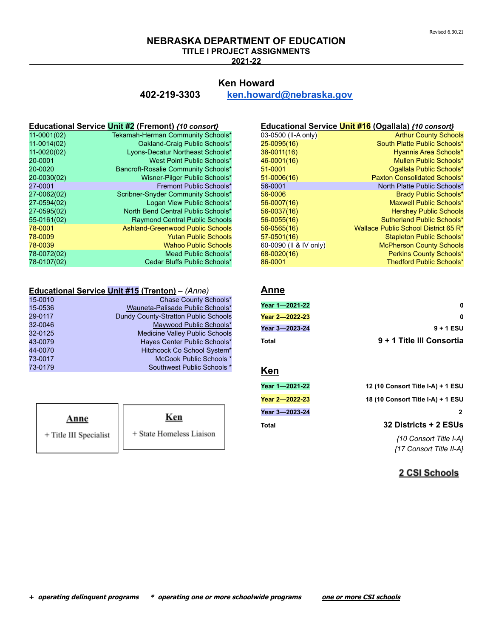## **NEBRASKA DEPARTMENT OF EDUCATION TITLE I PROJECT ASSIGNMENTS**

**2021-22**

## **Ken Howard 402-219-3303 [ken.howard@nebraska.gov](mailto:ken.howard@nebraska.gov)**

### **Educational Service Unit #2 (Fremont)** *{10 consort}*

| Tekamah-Herman Community Schools*       |
|-----------------------------------------|
| Oakland-Craig Public Schools*           |
| Lyons-Decatur Northeast Schools*        |
| West Point Public Schools*              |
| Bancroft-Rosalie Community Schools*     |
| Wisner-Pilger Public Schools*           |
| Fremont Public Schools*                 |
| Scribner-Snyder Community Schools*      |
| Logan View Public Schools*              |
| North Bend Central Public Schools*      |
| <b>Raymond Central Public Schools</b>   |
| <b>Ashland-Greenwood Public Schools</b> |
| <b>Yutan Public Schools</b>             |
| <b>Wahoo Public Schools</b>             |
| Mead Public Schools*                    |
| Cedar Bluffs Public Schools*            |
|                                         |

### **Educational Service Unit #15 (Trenton)** – *(Anne)*

| 15-0010 | Chase County Schools*                 |
|---------|---------------------------------------|
| 15-0536 | Wauneta-Palisade Public Schools*      |
| 29-0117 | Dundy County-Stratton Public Schools  |
| 32-0046 | Maywood Public Schools*               |
| 32-0125 | <b>Medicine Valley Public Schools</b> |
| 43-0079 | Hayes Center Public Schools*          |
| 44-0070 | Hitchcock Co School System*           |
| 73-0017 | McCook Public Schools *               |
| 73-0179 | Southwest Public Schools *            |
|         |                                       |

| Anne                   | Ken                      |
|------------------------|--------------------------|
| + Title III Specialist | + State Homeless Liaison |

<sup>1</sup>

## **Educational Service Unit #16 (Ogallala)** *{10 consort}*

| 03-0500 (II-A only)    | <b>Arthur County Schools</b>         |
|------------------------|--------------------------------------|
| 25-0095(16)            | South Platte Public Schools*         |
| 38-0011(16)            | Hyannis Area Schools*                |
| 46-0001(16)            | Mullen Public Schools*               |
| 51-0001                | Ogallala Public Schools*             |
| 51-0006(16)            | Paxton Consolidated Schools*         |
| 56-0001                | North Platte Public Schools*         |
| 56-0006                | <b>Brady Public Schools*</b>         |
| 56-0007(16)            | Maxwell Public Schools*              |
| 56-0037(16)            | <b>Hershey Public Schools</b>        |
| 56-0055(16)            | Sutherland Public Schools*           |
| 56-0565(16)            | Wallace Public School District 65 R* |
| 57-0501(16)            | Stapleton Public Schools*            |
| 60-0090 (II & IV only) | <b>McPherson County Schools</b>      |
| 68-0020(16)            | <b>Perkins County Schools*</b>       |
| 86-0001                | <b>Thedford Public Schools*</b>      |

## **Anne**

| Year 1—2021-22 | 0                         |
|----------------|---------------------------|
| Year 2—2022-23 | n                         |
| Year 3—2023-24 | $9 + 1$ ESU               |
| Total          | 9 + 1 Title III Consortia |

## **Ken**

| 12 (10 Consort Title I-A) + 1 ESU | Year 1—2021-22 |
|-----------------------------------|----------------|
| 18 (10 Consort Title I-A) + 1 ESU | Year 2—2022-23 |
|                                   | Year 3—2023-24 |
| 32 Districts + 2 ESUs             | Total          |
|                                   |                |

*{10 Consort Title I-A} {17 Consort Title II-A}*

## 2 CSI Schools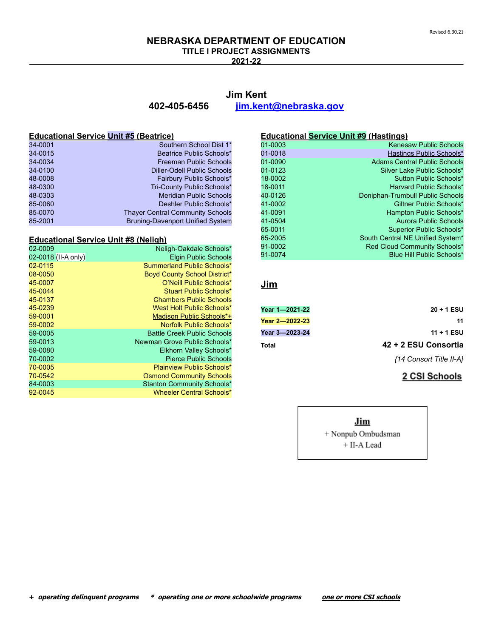**TITLE I PROJECT ASSIGNMENTS**

**2021-22**

## **Jim Kent**

**402-405-6456 [jim.kent@nebraska.gov](mailto:jim.kent@nebraska.gov)**

#### **Educational Service Unit #5 (Beatrice)**

| 34-0001 | Southern School Dist 1*                 |
|---------|-----------------------------------------|
| 34-0015 | Beatrice Public Schools*                |
| 34-0034 | <b>Freeman Public Schools</b>           |
| 34-0100 | <b>Diller-Odell Public Schools</b>      |
| 48-0008 | Fairbury Public Schools*                |
| 48-0300 | Tri-County Public Schools*              |
| 48-0303 | <b>Meridian Public Schools</b>          |
| 85-0060 | Deshler Public Schools*                 |
| 85-0070 | <b>Thaver Central Community Schools</b> |
| 85-2001 | <b>Bruning-Davenport Unified System</b> |

## **Educational Service Unit #8 (Neligh)**

| 02-0009             | Neligh-Oakdale Schools*            |
|---------------------|------------------------------------|
| 02-0018 (II-A only) | <b>Elgin Public Schools</b>        |
| 02-0115             | Summerland Public Schools*         |
| 08-0050             | Boyd County School District*       |
| 45-0007             | O'Neill Public Schools*            |
| 45-0044             | Stuart Public Schools*             |
| 45-0137             | <b>Chambers Public Schools</b>     |
| 45-0239             | West Holt Public Schools*          |
| 59-0001             | Madison Public Schools*+           |
| 59-0002             | Norfolk Public Schools*            |
| 59-0005             | <b>Battle Creek Public Schools</b> |
| 59-0013             | Newman Grove Public Schools*       |
| 59-0080             | Elkhorn Valley Schools*            |
| 70-0002             | <b>Pierce Public Schools</b>       |
| 70-0005             | <b>Plainview Public Schools*</b>   |
| 70-0542             | <b>Osmond Community Schools</b>    |
| 84-0003             | <b>Stanton Community Schools*</b>  |
| 92-0045             | <b>Wheeler Central Schools*</b>    |

#### **Educational Service Unit #9 (Hastings)**

| 01-0003 | <b>Kenesaw Public Schools</b>       |
|---------|-------------------------------------|
| 01-0018 | Hastings Public Schools*            |
| 01-0090 | <b>Adams Central Public Schools</b> |
| 01-0123 | Silver Lake Public Schools*         |
| 18-0002 | Sutton Public Schools*              |
| 18-0011 | Harvard Public Schools*             |
| 40-0126 | Doniphan-Trumbull Public Schools    |
| 41-0002 | Giltner Public Schools*             |
| 41-0091 | Hampton Public Schools*             |
| 41-0504 | <b>Aurora Public Schools</b>        |
| 65-0011 | Superior Public Schools*            |
| 65-2005 | South Central NE Unified System*    |
| 91-0002 | Red Cloud Community Schools*        |
| 91-0074 | Blue Hill Public Schools*           |
|         |                                     |

## **Jim**

| Year 1—2021-22 | 20 + 1 ESU              |
|----------------|-------------------------|
| Year 2-2022-23 | 11                      |
| Year 3-2023-24 | $11 + 1$ ESU            |
| Total          | 42 + 2 ESU Consortia    |
|                | {14 Consort Title II-A} |

## 2 CSI Schools

Jim + Nonpub Ombudsman + II-A Lead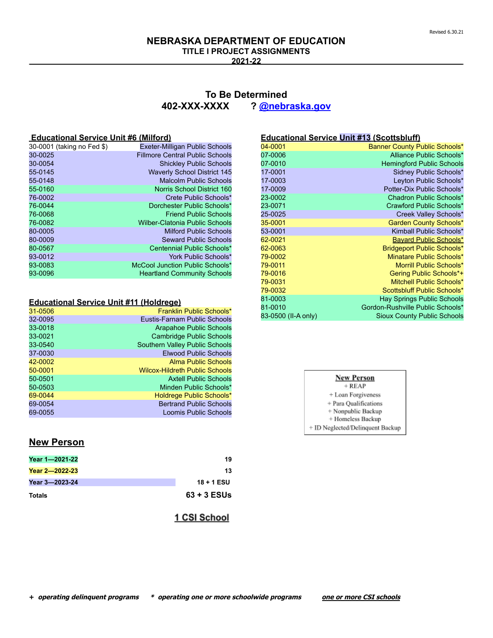**TITLE I PROJECT ASSIGNMENTS**

**2021-22**

## **To Be Determined 402-XXX-XXXX ? [@nebraska.gov](mailto:cathy.mohnike@nebraska.gov)**

#### **Educational Service Unit #6 (Milford)**

| 30-0001 (taking no Fed \$) | <b>Exeter-Milligan Public Schools</b>  |
|----------------------------|----------------------------------------|
| 30-0025                    | <b>Fillmore Central Public Schools</b> |
| 30-0054                    | <b>Shickley Public Schools</b>         |
| 55-0145                    | <b>Waverly School District 145</b>     |
| 55-0148                    | <b>Malcolm Public Schools</b>          |
| 55-0160                    | Norris School District 160             |
| 76-0002                    | Crete Public Schools*                  |
| 76-0044                    | Dorchester Public Schools*             |
| 76-0068                    | <b>Friend Public Schools</b>           |
| 76-0082                    | Wilber-Clatonia Public Schools         |
| 80-0005                    | <b>Milford Public Schools</b>          |
| 80-0009                    | <b>Seward Public Schools</b>           |
| 80-0567                    | Centennial Public Schools*             |
| 93-0012                    | York Public Schools*                   |
| 93-0083                    | McCool Junction Public Schools*        |
| 93-0096                    | <b>Heartland Community Schools</b>     |
|                            |                                        |

#### **Educational Service Unit #11 (Holdrege)**

| 31-0506 | Franklin Public Schools*              |
|---------|---------------------------------------|
| 32-0095 | Eustis-Farnam Public Schools          |
| 33-0018 | Arapahoe Public Schools               |
| 33-0021 | <b>Cambridge Public Schools</b>       |
| 33-0540 | Southern Valley Public Schools        |
| 37-0030 | <b>Elwood Public Schools</b>          |
| 42-0002 | <b>Alma Public Schools</b>            |
| 50-0001 | <b>Wilcox-Hildreth Public Schools</b> |
| 50-0501 | <b>Axtell Public Schools</b>          |
| 50-0503 | Minden Public Schools*                |
| 69-0044 | <b>Holdrege Public Schools*</b>       |
| 69-0054 | <b>Bertrand Public Schools</b>        |
| 69-0055 | Loomis Public Schools                 |
|         |                                       |

#### 04-0001 **Banner County Public Schools\***<br>197-0006 **Banner County Public Schools\*** oz-0006 Alliance Public Schools\*<br>197-0010 Alliance Public Schools<br>197-0010 Hemingford Public Schools Hemingford Public Schools 17-0001 Sidney Public Schools\*

**Educational Service Unit #13 (Scottsbluff)**

| 17-UUU 1            | Sidney Public Schools"             |
|---------------------|------------------------------------|
| 17-0003             | Leyton Public Schools*             |
| 17-0009             | Potter-Dix Public Schools*         |
| 23-0002             | Chadron Public Schools*            |
| 23-0071             | Crawford Public Schools*           |
| 25-0025             | Creek Valley Schools*              |
| 35-0001             | <b>Garden County Schools*</b>      |
| 53-0001             | Kimball Public Schools*            |
| 62-0021             | Bayard Public Schools*             |
| 62-0063             | <b>Bridgeport Public Schools*</b>  |
| 79-0002             | Minatare Public Schools*           |
| 79-0011             | Morrill Public Schools*            |
| 79-0016             | Gering Public Schools*+            |
| 79-0031             | Mitchell Public Schools*           |
| 79-0032             | Scottsbluff Public Schools*        |
| 81-0003             | <b>Hay Springs Public Schools</b>  |
| 81-0010             | Gordon-Rushville Public Schools*   |
| 83-0500 (II-A only) | <b>Sioux County Public Schools</b> |

| <b>New Person</b> |  |
|-------------------|--|
| $+ REAP$          |  |

+ Loan Forgiveness

+ Para Qualifications + Nonpublic Backup

+ Homeless Backup

+ ID Neglected/Delinquent Backup

## **New Person**

| Year 1-2021-22 | 19            |
|----------------|---------------|
| Year 2-2022-23 | 13            |
| Year 3-2023-24 | $18 + 1$ ESU  |
| Totals         | $63 + 3$ ESUs |

1 CSI School

# **+ operating delinquent programs \* operating one or more schoolwide programs one or more CSI schools**